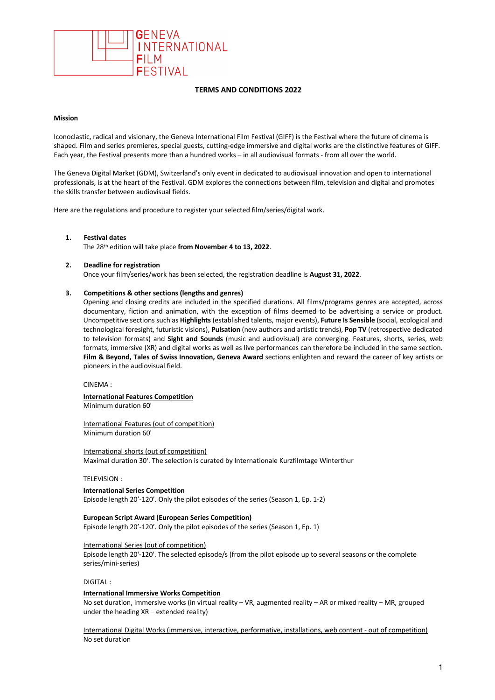

# **TERMS AND CONDITIONS 2022**

# **Mission**

Iconoclastic, radical and visionary, the Geneva International Film Festival (GIFF) is the Festival where the future of cinema is shaped. Film and series premieres, special guests, cutting-edge immersive and digital works are the distinctive features of GIFF. Each year, the Festival presents more than a hundred works – in all audiovisual formats - from all over the world.

The Geneva Digital Market (GDM), Switzerland's only event in dedicated to audiovisual innovation and open to international professionals, is at the heart of the Festival. GDM explores the connections between film, television and digital and promotes the skills transfer between audiovisual fields.

Here are the regulations and procedure to register your selected film/series/digital work.

### **1. Festival dates**

The 28th edition will take place **from November 4 to 13, 2022**.

## **2. Deadline for registration**

Once your film/series/work has been selected, the registration deadline is **August 31, 2022**.

## **3. Competitions & other sections (lengths and genres)**

Opening and closing credits are included in the specified durations. All films/programs genres are accepted, across documentary, fiction and animation, with the exception of films deemed to be advertising a service or product. Uncompetitive sections such as **Highlights** (established talents, major events), **Future Is Sensible** (social, ecological and technological foresight, futuristic visions), **Pulsation** (new authors and artistic trends), **Pop TV** (retrospective dedicated to television formats) and **Sight and Sounds** (music and audiovisual) are converging. Features, shorts, series, web formats, immersive (XR) and digital works as well as live performances can therefore be included in the same section. **Film & Beyond, Tales of Swiss Innovation, Geneva Award** sections enlighten and reward the career of key artists or pioneers in the audiovisual field.

### CINEMA :

**International Features Competition** Minimum duration 60'

International Features (out of competition) Minimum duration 60'

International shorts (out of competition) Maximal duration 30'. The selection is curated by Internationale Kurzfilmtage Winterthur

## TELEVISION :

**International Series Competition** Episode length 20'-120'. Only the pilot episodes of the series (Season 1, Ep. 1-2)

### **European Script Award (European Series Competition)**

Episode length 20'-120'. Only the pilot episodes of the series (Season 1, Ep. 1)

### International Series (out of competition)

Episode length 20'-120'. The selected episode/s (from the pilot episode up to several seasons or the complete series/mini-series)

# DIGITAL :

## **International Immersive Works Competition**

No set duration, immersive works (in virtual reality – VR, augmented reality – AR or mixed reality – MR, grouped under the heading XR – extended reality)

International Digital Works (immersive, interactive, performative, installations, web content - out of competition) No set duration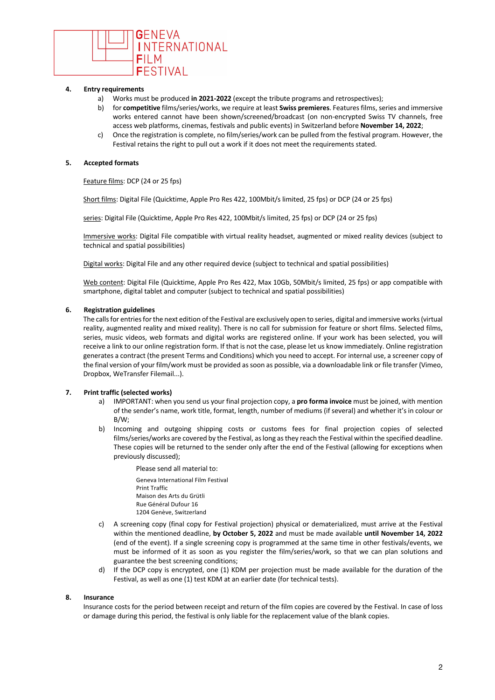

# **4. Entry requirements**

- a) Works must be produced **in 2021-2022** (except the tribute programs and retrospectives);
- b) for **competitive** films/series/works, we require at least **Swiss premieres**. Features films, series and immersive works entered cannot have been shown/screened/broadcast (on non-encrypted Swiss TV channels, free access web platforms, cinemas, festivals and public events) in Switzerland before **November 14, 2022**;
- c) Once the registration is complete, no film/series/work can be pulled from the festival program. However, the Festival retains the right to pull out a work if it does not meet the requirements stated.

# **5. Accepted formats**

Feature films: DCP (24 or 25 fps)

Short films: Digital File (Quicktime, Apple Pro Res 422, 100Mbit/s limited, 25 fps) or DCP (24 or 25 fps)

series: Digital File (Quicktime, Apple Pro Res 422, 100Mbit/s limited, 25 fps) or DCP (24 or 25 fps)

Immersive works: Digital File compatible with virtual reality headset, augmented or mixed reality devices (subject to technical and spatial possibilities)

Digital works: Digital File and any other required device (subject to technical and spatial possibilities)

Web content: Digital File (Quicktime, Apple Pro Res 422, Max 10Gb, 50Mbit/s limited, 25 fps) or app compatible with smartphone, digital tablet and computer (subject to technical and spatial possibilities)

# **6. Registration guidelines**

The calls for entries for the next edition of the Festival are exclusively open to series, digital and immersive works (virtual reality, augmented reality and mixed reality). There is no call for submission for feature or short films. Selected films, series, music videos, web formats and digital works are registered online. If your work has been selected, you will receive a link to our online registration form. If that is not the case, please let us know immediately. Online registration generates a contract (the present Terms and Conditions) which you need to accept. For internal use, a screener copy of the final version of your film/work must be provided as soon as possible, via a downloadable link or file transfer (Vimeo, Dropbox, WeTransfer Filemail...).

# **7. Print traffic (selected works)**

- a) IMPORTANT: when you send us your final projection copy, a **pro forma invoice** must be joined, with mention of the sender's name, work title, format, length, number of mediums (if several) and whether it's in colour or B/W;
- b) Incoming and outgoing shipping costs or customs fees for final projection copies of selected films/series/works are covered by the Festival, aslong asthey reach the Festival within the specified deadline. These copies will be returned to the sender only after the end of the Festival (allowing for exceptions when previously discussed);
	- Please send all material to: Geneva International Film Festival Print Traffic Maison des Arts du Grütli Rue Général Dufour 16 1204 Genève, Switzerland
- c) A screening copy (final copy for Festival projection) physical or dematerialized, must arrive at the Festival within the mentioned deadline, **by October 5, 2022** and must be made available **until November 14, 2022** (end of the event). If a single screening copy is programmed at the same time in other festivals/events, we must be informed of it as soon as you register the film/series/work, so that we can plan solutions and guarantee the best screening conditions;
- d) If the DCP copy is encrypted, one (1) KDM per projection must be made available for the duration of the Festival, as well as one (1) test KDM at an earlier date (for technical tests).

# **8. Insurance**

Insurance costs for the period between receipt and return of the film copies are covered by the Festival. In case of loss or damage during this period, the festival is only liable for the replacement value of the blank copies.